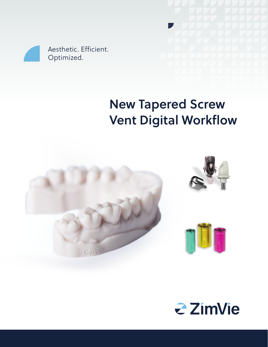

# New Tapered Screw Vent Digital Workflow